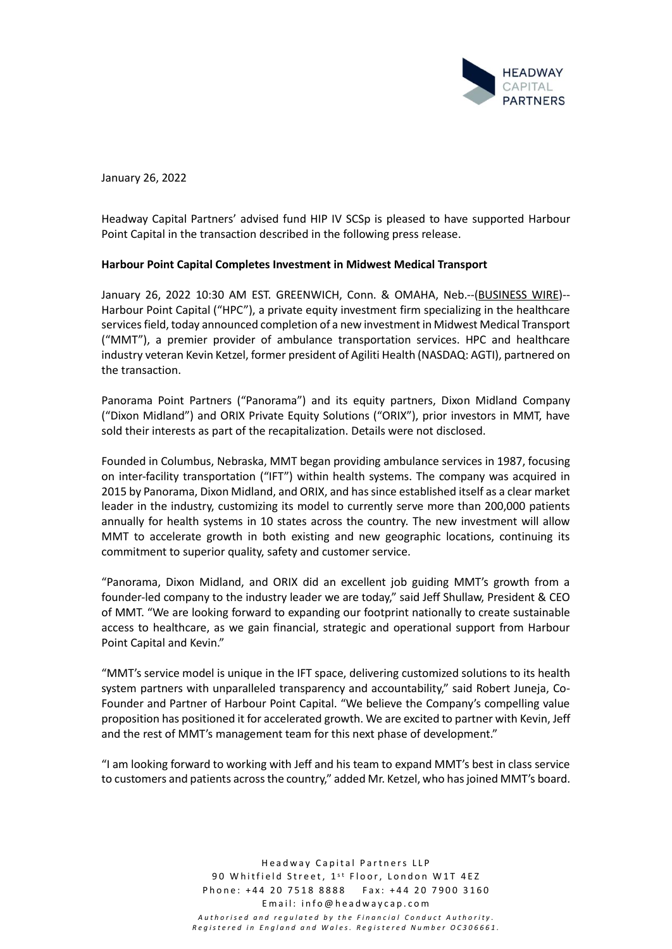

January 26, 2022

Headway Capital Partners' advised fund HIP IV SCSp is pleased to have supported Harbour Point Capital in the transaction described in the following press release.

### **Harbour Point Capital Completes Investment in Midwest Medical Transport**

January 26, 2022 10:30 AM EST. GREENWICH, Conn. & OMAHA, Neb.--[\(BUSINESS WIRE\)](https://www.businesswire.com/)-- Harbour Point Capital ("HPC"), a private equity investment firm specializing in the healthcare services field, today announced completion of a new investment in Midwest Medical Transport ("MMT"), a premier provider of ambulance transportation services. HPC and healthcare industry veteran Kevin Ketzel, former president of Agiliti Health (NASDAQ: AGTI), partnered on the transaction.

Panorama Point Partners ("Panorama") and its equity partners, Dixon Midland Company ("Dixon Midland") and ORIX Private Equity Solutions ("ORIX"), prior investors in MMT, have sold their interests as part of the recapitalization. Details were not disclosed.

Founded in Columbus, Nebraska, MMT began providing ambulance services in 1987, focusing on inter-facility transportation ("IFT") within health systems. The company was acquired in 2015 by Panorama, Dixon Midland, and ORIX, and has since established itself as a clear market leader in the industry, customizing its model to currently serve more than 200,000 patients annually for health systems in 10 states across the country. The new investment will allow MMT to accelerate growth in both existing and new geographic locations, continuing its commitment to superior quality, safety and customer service.

"Panorama, Dixon Midland, and ORIX did an excellent job guiding MMT's growth from a founder-led company to the industry leader we are today," said Jeff Shullaw, President & CEO of MMT. "We are looking forward to expanding our footprint nationally to create sustainable access to healthcare, as we gain financial, strategic and operational support from Harbour Point Capital and Kevin."

"MMT's service model is unique in the IFT space, delivering customized solutions to its health system partners with unparalleled transparency and accountability," said Robert Juneja, Co-Founder and Partner of Harbour Point Capital. "We believe the Company's compelling value proposition has positioned it for accelerated growth. We are excited to partner with Kevin, Jeff and the rest of MMT's management team for this next phase of development."

"I am looking forward to working with Jeff and his team to expand MMT's best in class service to customers and patients across the country," added Mr. Ketzel, who has joined MMT's board.

> Headway Capital Partners LLP 90 Whitfield Street, 1<sup>st</sup> Floor, London W1T 4EZ Phone: +44 20 7518 8888 Fax: +44 20 7900 3160 Email: info@headwaycap.com *A u t h o r i s e d a n d r e g u l a t e d b y t h e F i n a n c i a l C o n d u c t A u t h o r i t y . Registered in England and Wales. Registered Number OC306661.*